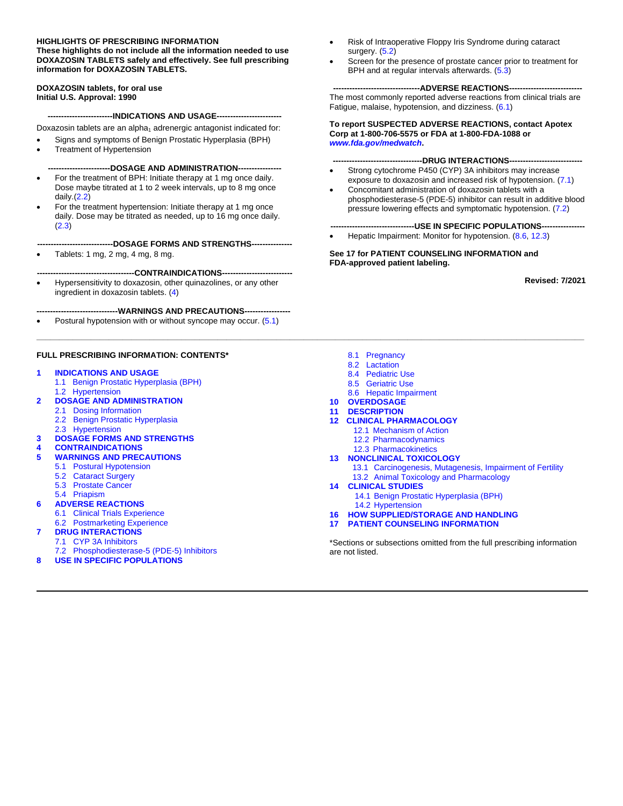#### **HIGHLIGHTS OF PRESCRIBING INFORMATION**

**These highlights do not include all the information needed to use DOXAZOSIN TABLETS safely and effectively. See full prescribing information for DOXAZOSIN TABLETS.**

#### **DOXAZOSIN tablets, for oral use Initial U.S. Approval: 1990**

**------------------------INDICATIONS AND USAGE------------------------**

Doxazosin tablets are an alpha<sub>1</sub> adrenergic antagonist indicated for:

- Signs and symptoms of Benign Prostatic Hyperplasia (BPH)
- Treatment of Hypertension

#### **-----------------------DOSAGE AND ADMINISTRATION----------------**

- For the treatment of BPH: Initiate therapy at 1 mg once daily. Dose maybe titrated at 1 to 2 week intervals, up to 8 mg once daily.[\(2.2\)](#page-1-0)
- For the treatment hypertension: Initiate therapy at 1 mg once daily. Dose may be titrated as needed, up to 16 mg once daily. [\(2.3\)](#page-2-0)

#### **----------------------------DOSAGE FORMS AND STRENGTHS---------------**

- Tablets: 1 mg, 2 mg, 4 mg, 8 mg.
	- **------------------------------------CONTRAINDICATIONS--------------------------**
- Hypersensitivity to doxazosin, other quinazolines, or any other ingredient in doxazosin tablets. [\(4\)](#page-2-1)

#### **------------------------------WARNINGS AND PRECAUTIONS-----------------**

• Postural hypotension with or without syncope may occur. [\(5.1\)](#page-2-2)

#### **FULL PRESCRIBING INFORMATION: CONTENTS\***

#### **1 [INDICATIONS AND USAGE](#page-1-1)**

- [1.1 Benign Prostatic Hyperplasia \(BPH\)](#page-1-2) [1.2 Hypertension](#page-1-3)
- **2 [DOSAGE AND ADMINISTRATION](#page-1-4)**
	- 2.1 [Dosing Information](#page-1-5)
		- 2.2 [Benign Prostatic Hyperplasia](#page-1-0)
		- 2.3 [Hypertension](#page-2-0)
- **3 [DOSAGE FORMS AND STRENGTHS](#page-2-6)**
- **4 [CONTRAINDICATIONS](#page-2-1)**

#### **5 [WARNINGS AND PRECAUTIONS](#page-2-7)**

- 5.1 [Postural Hypotension](#page-2-2)
- 5.2 [Cataract Surgery](#page-2-3)
- 5.3 [Prostate Cancer](#page-2-4)
- 5.4 [Priapism](#page-2-8)
- **6 [ADVERSE REACTIONS](#page-2-9)**
- 6.1 [Clinical Trials Experience](#page-2-5)
- 6.2 [Postmarketing Experience](#page-4-2)

#### **7 [DRUG INTERACTIONS](#page-4-3)**

- 7.1 CYP [3A Inhibitors](#page-4-0)
- 7.2 [Phosphodiesterase-5 \(PDE-5\)](#page-4-1) Inhibitors
- **8 [USE IN SPECIFIC POPULATIONS](#page-4-4)**
- Risk of Intraoperative Floppy Iris Syndrome during cataract surgery. [\(5.2\)](#page-2-3)
- Screen for the presence of prostate cancer prior to treatment for BPH and at regular intervals afterwards. [\(5.3\)](#page-2-4)

#### **--------------------------------ADVERSE REACTIONS---------------------------**

The most commonly reported adverse reactions from clinical trials are Fatigue, malaise, hypotension, and dizziness. [\(6.1\)](#page-2-5)

#### **To report SUSPECTED ADVERSE REACTIONS, contact Apotex Corp at 1-800-706-5575 or FDA at 1-800-FDA-1088 or**  *[www.fda.gov/medwatch](http://www.fda.gov/medwatch)***.**

#### **---------------------------------DRUG INTERACTIONS---------------------------**

- Strong cytochrome P450 (CYP) 3A inhibitors may increase exposure to doxazosin and increased risk of hypotension. [\(7.1\)](#page-4-0)
- Concomitant administration of doxazosin tablets with a phosphodiesterase-5 (PDE-5) inhibitor can result in additive blood pressure lowering effects and symptomatic hypotension. [\(7.2\)](#page-4-1)

#### **-------------------------------USE IN SPECIFIC POPULATIONS----------------**

• Hepatic Impairment: Monitor for hypotension. [\(8.6,](#page-5-0) [12.3\)](#page-7-0)

#### **See 17 for PATIENT COUNSELING INFORMATION and FDA-approved patient labeling.**

**Revised: 7/2021**

8.1 [Pregnancy](#page-4-5)

**\_\_\_\_\_\_\_\_\_\_\_\_\_\_\_\_\_\_\_\_\_\_\_\_\_\_\_\_\_\_\_\_\_\_\_\_\_\_\_\_\_\_\_\_\_\_\_\_\_\_\_\_\_\_\_\_\_\_\_\_\_\_\_\_\_\_\_\_\_\_\_\_\_\_\_\_\_\_\_\_\_\_\_\_\_\_\_\_\_\_\_\_\_\_\_\_\_\_\_\_\_\_\_\_\_\_\_\_\_\_\_\_\_\_\_\_\_\_\_\_\_**

- 8.2 [Lactation](#page-5-1)
- 8.4 [Pediatric Use](#page-5-2)
- 8.5 [Geriatric Use](#page-5-3)
- 8.6 [Hepatic Impairment](#page-5-0)
- **10 [OVERDOSAGE](#page-5-4)**
- **11 [DESCRIPTION](#page-6-0)**
- **12 [CLINICAL PHARMACOLOGY](#page-6-1)**
	- 12.1 [Mechanism of Action](#page-6-2)
	- 12.2 [Pharmacodynamics](#page-7-1)
	- 12.3 [Pharmacokinetics](#page-7-0)

#### **13 [NONCLINICAL TOXICOLOGY](#page-8-0)**

- 13.1 [Carcinogenesis, Mutagenesis, Impairment of Fertility](#page-8-1) 13.2 Animal [Toxicology and](#page-8-2) Pharmacology
- **14 [CLINICAL STUDIES](#page-9-0)**
	- 14.1 [Benign Prostatic Hyperplasia \(BPH\)](#page-9-1)
	- 14.2 [Hypertension](#page-11-0)
- **16 [HOW SUPPLIED/STORAGE AND HANDLING](#page-11-1)**
- **17 [PATIENT COUNSELING](#page-12-0) INFORMATION**

\*Sections or subsections omitted from the full prescribing information are not listed.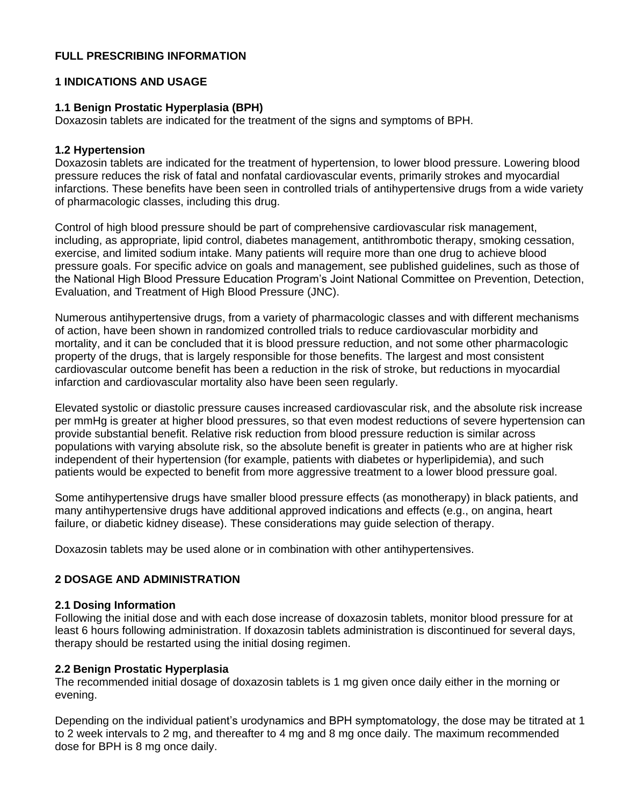## **FULL PRESCRIBING INFORMATION**

## <span id="page-1-1"></span>**1 INDICATIONS AND USAGE**

## <span id="page-1-2"></span>**1.1 Benign Prostatic Hyperplasia (BPH)**

Doxazosin tablets are indicated for the treatment of the signs and symptoms of BPH.

## <span id="page-1-3"></span>**1.2 Hypertension**

Doxazosin tablets are indicated for the treatment of hypertension, to lower blood pressure. Lowering blood pressure reduces the risk of fatal and nonfatal cardiovascular events, primarily strokes and myocardial infarctions. These benefits have been seen in controlled trials of antihypertensive drugs from a wide variety of pharmacologic classes, including this drug.

Control of high blood pressure should be part of comprehensive cardiovascular risk management, including, as appropriate, lipid control, diabetes management, antithrombotic therapy, smoking cessation, exercise, and limited sodium intake. Many patients will require more than one drug to achieve blood pressure goals. For specific advice on goals and management, see published guidelines, such as those of the National High Blood Pressure Education Program's Joint National Committee on Prevention, Detection, Evaluation, and Treatment of High Blood Pressure (JNC).

Numerous antihypertensive drugs, from a variety of pharmacologic classes and with different mechanisms of action, have been shown in randomized controlled trials to reduce cardiovascular morbidity and mortality, and it can be concluded that it is blood pressure reduction, and not some other pharmacologic property of the drugs, that is largely responsible for those benefits. The largest and most consistent cardiovascular outcome benefit has been a reduction in the risk of stroke, but reductions in myocardial infarction and cardiovascular mortality also have been seen regularly.

Elevated systolic or diastolic pressure causes increased cardiovascular risk, and the absolute risk increase per mmHg is greater at higher blood pressures, so that even modest reductions of severe hypertension can provide substantial benefit. Relative risk reduction from blood pressure reduction is similar across populations with varying absolute risk, so the absolute benefit is greater in patients who are at higher risk independent of their hypertension (for example, patients with diabetes or hyperlipidemia), and such patients would be expected to benefit from more aggressive treatment to a lower blood pressure goal.

Some antihypertensive drugs have smaller blood pressure effects (as monotherapy) in black patients, and many antihypertensive drugs have additional approved indications and effects (e.g., on angina, heart failure, or diabetic kidney disease). These considerations may guide selection of therapy.

Doxazosin tablets may be used alone or in combination with other antihypertensives.

## <span id="page-1-4"></span>**2 DOSAGE AND ADMINISTRATION**

## <span id="page-1-5"></span>**2.1 Dosing Information**

Following the initial dose and with each dose increase of doxazosin tablets, monitor blood pressure for at least 6 hours following administration. If doxazosin tablets administration is discontinued for several days, therapy should be restarted using the initial dosing regimen.

## <span id="page-1-0"></span>**2.2 Benign Prostatic Hyperplasia**

The recommended initial dosage of doxazosin tablets is 1 mg given once daily either in the morning or evening.

Depending on the individual patient's urodynamics and BPH symptomatology, the dose may be titrated at 1 to 2 week intervals to 2 mg, and thereafter to 4 mg and 8 mg once daily. The maximum recommended dose for BPH is 8 mg once daily.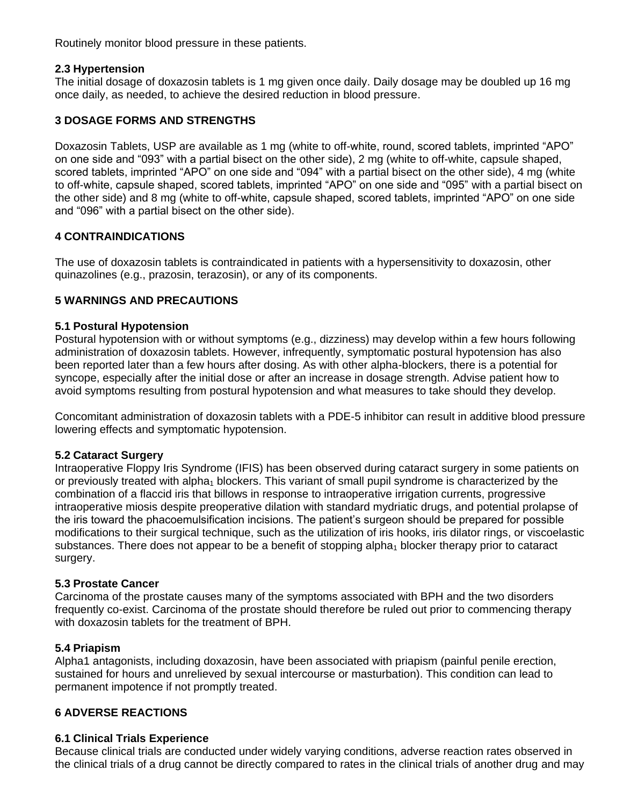Routinely monitor blood pressure in these patients.

## <span id="page-2-0"></span>**2.3 Hypertension**

The initial dosage of doxazosin tablets is 1 mg given once daily. Daily dosage may be doubled up 16 mg once daily, as needed, to achieve the desired reduction in blood pressure.

## <span id="page-2-6"></span>**3 DOSAGE FORMS AND STRENGTHS**

Doxazosin Tablets, USP are available as 1 mg (white to off-white, round, scored tablets, imprinted "APO" on one side and "093" with a partial bisect on the other side), 2 mg (white to off-white, capsule shaped, scored tablets, imprinted "APO" on one side and "094" with a partial bisect on the other side), 4 mg (white to off-white, capsule shaped, scored tablets, imprinted "APO" on one side and "095" with a partial bisect on the other side) and 8 mg (white to off-white, capsule shaped, scored tablets, imprinted "APO" on one side and "096" with a partial bisect on the other side).

## <span id="page-2-1"></span>**4 CONTRAINDICATIONS**

The use of doxazosin tablets is contraindicated in patients with a hypersensitivity to doxazosin, other quinazolines (e.g., prazosin, terazosin), or any of its components.

#### <span id="page-2-7"></span>**5 WARNINGS AND PRECAUTIONS**

#### <span id="page-2-2"></span>**5.1 Postural Hypotension**

Postural hypotension with or without symptoms (e.g., dizziness) may develop within a few hours following administration of doxazosin tablets. However, infrequently, symptomatic postural hypotension has also been reported later than a few hours after dosing. As with other alpha-blockers, there is a potential for syncope, especially after the initial dose or after an increase in dosage strength. Advise patient how to avoid symptoms resulting from postural hypotension and what measures to take should they develop.

Concomitant administration of doxazosin tablets with a PDE-5 inhibitor can result in additive blood pressure lowering effects and symptomatic hypotension.

#### <span id="page-2-3"></span>**5.2 Cataract Surgery**

Intraoperative Floppy Iris Syndrome (IFIS) has been observed during cataract surgery in some patients on or previously treated with alpha<sub>1</sub> blockers. This variant of small pupil syndrome is characterized by the combination of a flaccid iris that billows in response to intraoperative irrigation currents, progressive intraoperative miosis despite preoperative dilation with standard mydriatic drugs, and potential prolapse of the iris toward the phacoemulsification incisions. The patient's surgeon should be prepared for possible modifications to their surgical technique, such as the utilization of iris hooks, iris dilator rings, or viscoelastic substances. There does not appear to be a benefit of stopping alpha<sub>1</sub> blocker therapy prior to cataract surgery.

#### <span id="page-2-4"></span>**5.3 Prostate Cancer**

Carcinoma of the prostate causes many of the symptoms associated with BPH and the two disorders frequently co-exist. Carcinoma of the prostate should therefore be ruled out prior to commencing therapy with doxazosin tablets for the treatment of BPH.

#### <span id="page-2-8"></span>**5.4 Priapism**

Alpha1 antagonists, including doxazosin, have been associated with priapism (painful penile erection, sustained for hours and unrelieved by sexual intercourse or masturbation). This condition can lead to permanent impotence if not promptly treated.

## <span id="page-2-9"></span>**6 ADVERSE REACTIONS**

#### <span id="page-2-5"></span>**6.1 Clinical Trials Experience**

Because clinical trials are conducted under widely varying conditions, adverse reaction rates observed in the clinical trials of a drug cannot be directly compared to rates in the clinical trials of another drug and may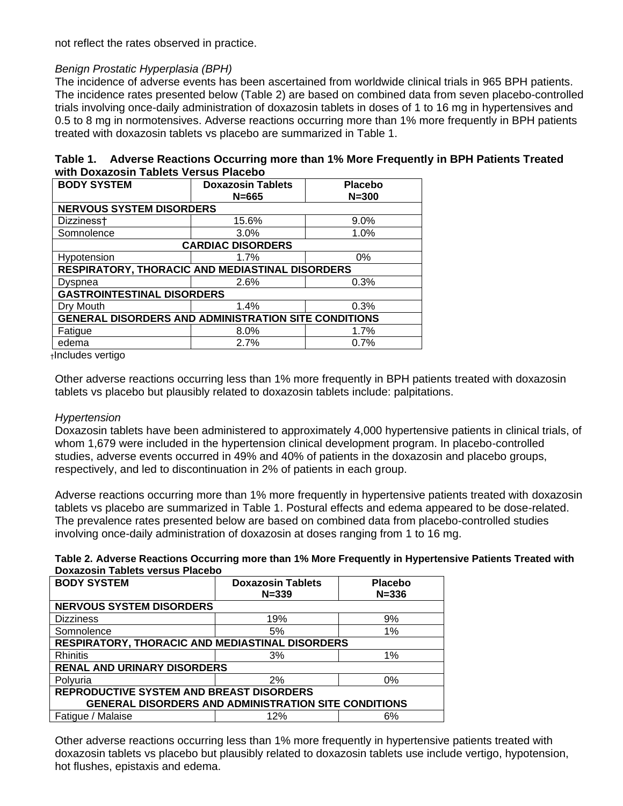not reflect the rates observed in practice.

#### *Benign Prostatic Hyperplasia (BPH)*

The incidence of adverse events has been ascertained from worldwide clinical trials in 965 BPH patients. The incidence rates presented below (Table 2) are based on combined data from seven placebo-controlled trials involving once-daily administration of doxazosin tablets in doses of 1 to 16 mg in hypertensives and 0.5 to 8 mg in normotensives. Adverse reactions occurring more than 1% more frequently in BPH patients treated with doxazosin tablets vs placebo are summarized in Table 1.

| Table 1. Adverse Reactions Occurring more than 1% More Frequently in BPH Patients Treated |  |
|-------------------------------------------------------------------------------------------|--|
| with Doxazosin Tablets Versus Placebo                                                     |  |

| <b>BODY SYSTEM</b>                                          | <b>Doxazosin Tablets</b> | <b>Placebo</b> |  |  |  |
|-------------------------------------------------------------|--------------------------|----------------|--|--|--|
|                                                             | $N = 665$                | $N = 300$      |  |  |  |
| <b>NERVOUS SYSTEM DISORDERS</b>                             |                          |                |  |  |  |
| Dizziness†                                                  | 15.6%                    | 9.0%           |  |  |  |
| Somnolence                                                  | 3.0%                     | 1.0%           |  |  |  |
| <b>CARDIAC DISORDERS</b>                                    |                          |                |  |  |  |
| Hypotension                                                 | 1.7%                     | $0\%$          |  |  |  |
| <b>RESPIRATORY, THORACIC AND MEDIASTINAL DISORDERS</b>      |                          |                |  |  |  |
| Dyspnea                                                     | 2.6%                     | 0.3%           |  |  |  |
| <b>GASTROINTESTINAL DISORDERS</b>                           |                          |                |  |  |  |
| Dry Mouth                                                   | 1.4%                     | 0.3%           |  |  |  |
| <b>GENERAL DISORDERS AND ADMINISTRATION SITE CONDITIONS</b> |                          |                |  |  |  |
| Fatigue                                                     | 8.0%                     | 1.7%           |  |  |  |
| edema<br>. .                                                | 2.7%                     | 0.7%           |  |  |  |

†Includes vertigo

Other adverse reactions occurring less than 1% more frequently in BPH patients treated with doxazosin tablets vs placebo but plausibly related to doxazosin tablets include: palpitations.

#### *Hypertension*

Doxazosin tablets have been administered to approximately 4,000 hypertensive patients in clinical trials, of whom 1,679 were included in the hypertension clinical development program. In placebo-controlled studies, adverse events occurred in 49% and 40% of patients in the doxazosin and placebo groups, respectively, and led to discontinuation in 2% of patients in each group.

Adverse reactions occurring more than 1% more frequently in hypertensive patients treated with doxazosin tablets vs placebo are summarized in Table 1. Postural effects and edema appeared to be dose-related. The prevalence rates presented below are based on combined data from placebo-controlled studies involving once-daily administration of doxazosin at doses ranging from 1 to 16 mg.

| Table 2. Adverse Reactions Occurring more than 1% More Frequently in Hypertensive Patients Treated with |  |  |
|---------------------------------------------------------------------------------------------------------|--|--|
| Doxazosin Tablets versus Placebo                                                                        |  |  |

| <b>BODY SYSTEM</b>                                          | <b>Doxazosin Tablets</b> | <b>Placebo</b> |  |  |  |
|-------------------------------------------------------------|--------------------------|----------------|--|--|--|
|                                                             | $N = 339$                | $N = 336$      |  |  |  |
| <b>NERVOUS SYSTEM DISORDERS</b>                             |                          |                |  |  |  |
| <b>Dizziness</b>                                            | 19%                      | 9%             |  |  |  |
| Somnolence                                                  | 5%                       | 1%             |  |  |  |
| RESPIRATORY, THORACIC AND MEDIASTINAL DISORDERS             |                          |                |  |  |  |
| <b>Rhinitis</b>                                             | 1%<br>3%                 |                |  |  |  |
| <b>RENAL AND URINARY DISORDERS</b>                          |                          |                |  |  |  |
| Polyuria                                                    | 2%                       | 0%             |  |  |  |
| REPRODUCTIVE SYSTEM AND BREAST DISORDERS                    |                          |                |  |  |  |
| <b>GENERAL DISORDERS AND ADMINISTRATION SITE CONDITIONS</b> |                          |                |  |  |  |
| Fatigue / Malaise                                           | 12%                      | 6%             |  |  |  |

Other adverse reactions occurring less than 1% more frequently in hypertensive patients treated with doxazosin tablets vs placebo but plausibly related to doxazosin tablets use include vertigo, hypotension, hot flushes, epistaxis and edema.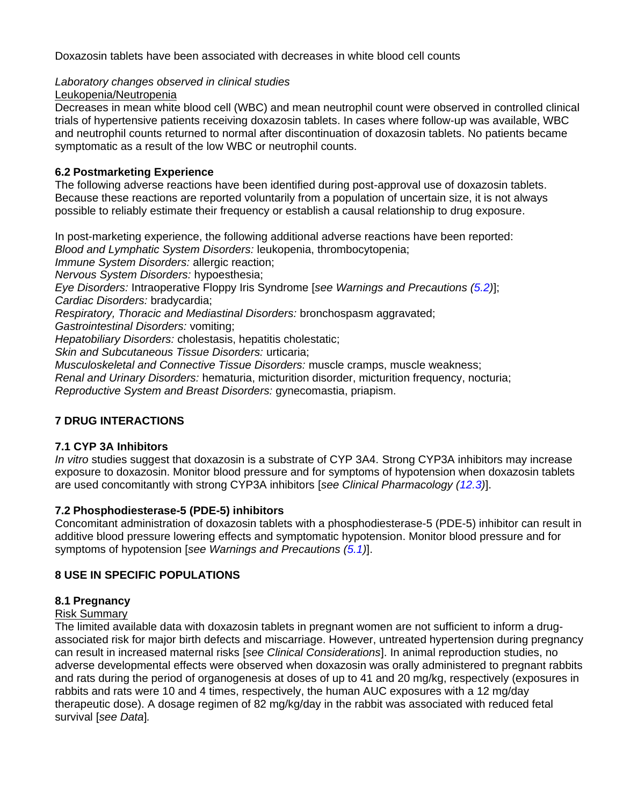Doxazosin tablets have been associated with decreases in white blood cell counts

*Laboratory changes observed in clinical studies* Leukopenia/Neutropenia

Decreases in mean white blood cell (WBC) and mean neutrophil count were observed in controlled clinical trials of hypertensive patients receiving doxazosin tablets. In cases where follow-up was available, WBC and neutrophil counts returned to normal after discontinuation of doxazosin tablets. No patients became symptomatic as a result of the low WBC or neutrophil counts.

## <span id="page-4-2"></span>**6.2 Postmarketing Experience**

The following adverse reactions have been identified during post-approval use of doxazosin tablets. Because these reactions are reported voluntarily from a population of uncertain size, it is not always possible to reliably estimate their frequency or establish a causal relationship to drug exposure.

In post-marketing experience, the following additional adverse reactions have been reported:

*Blood and Lymphatic System Disorders:* leukopenia, thrombocytopenia;

*Immune System Disorders:* allergic reaction;

*Nervous System Disorders:* hypoesthesia;

*Eye Disorders:* Intraoperative Floppy Iris Syndrome [*see Warnings and Precautions [\(5.2\)](#page-2-3)*]; *Cardiac Disorders:* bradycardia;

*Respiratory, Thoracic and Mediastinal Disorders:* bronchospasm aggravated;

*Gastrointestinal Disorders:* vomiting;

*Hepatobiliary Disorders:* cholestasis, hepatitis cholestatic;

*Skin and Subcutaneous Tissue Disorders:* urticaria;

*Musculoskeletal and Connective Tissue Disorders:* muscle cramps, muscle weakness;

*Renal and Urinary Disorders:* hematuria, micturition disorder, micturition frequency, nocturia;

*Reproductive System and Breast Disorders:* gynecomastia, priapism.

# <span id="page-4-3"></span>**7 DRUG INTERACTIONS**

## <span id="page-4-0"></span>**7.1 CYP 3A Inhibitors**

*In vitro* studies suggest that doxazosin is a substrate of CYP 3A4. Strong CYP3A inhibitors may increase exposure to doxazosin. Monitor blood pressure and for symptoms of hypotension when doxazosin tablets are used concomitantly with strong CYP3A inhibitors [*see Clinical Pharmacology [\(12.3\)](#page-7-0)*].

## <span id="page-4-1"></span>**7.2 Phosphodiesterase-5 (PDE-5) inhibitors**

Concomitant administration of doxazosin tablets with a phosphodiesterase-5 (PDE-5) inhibitor can result in additive blood pressure lowering effects and symptomatic hypotension. Monitor blood pressure and for symptoms of hypotension [*see Warnings and Precautions [\(5.1\)](#page-2-2)*].

## <span id="page-4-4"></span>**8 USE IN SPECIFIC POPULATIONS**

# <span id="page-4-5"></span>**8.1 Pregnancy**

## Risk Summary

The limited available data with doxazosin tablets in pregnant women are not sufficient to inform a drugassociated risk for major birth defects and miscarriage. However, untreated hypertension during pregnancy can result in increased maternal risks [*see Clinical Considerations*]. In animal reproduction studies, no adverse developmental effects were observed when doxazosin was orally administered to pregnant rabbits and rats during the period of organogenesis at doses of up to 41 and 20 mg/kg, respectively (exposures in rabbits and rats were 10 and 4 times, respectively, the human AUC exposures with a 12 mg/day therapeutic dose). A dosage regimen of 82 mg/kg/day in the rabbit was associated with reduced fetal survival [*see Data*]*.*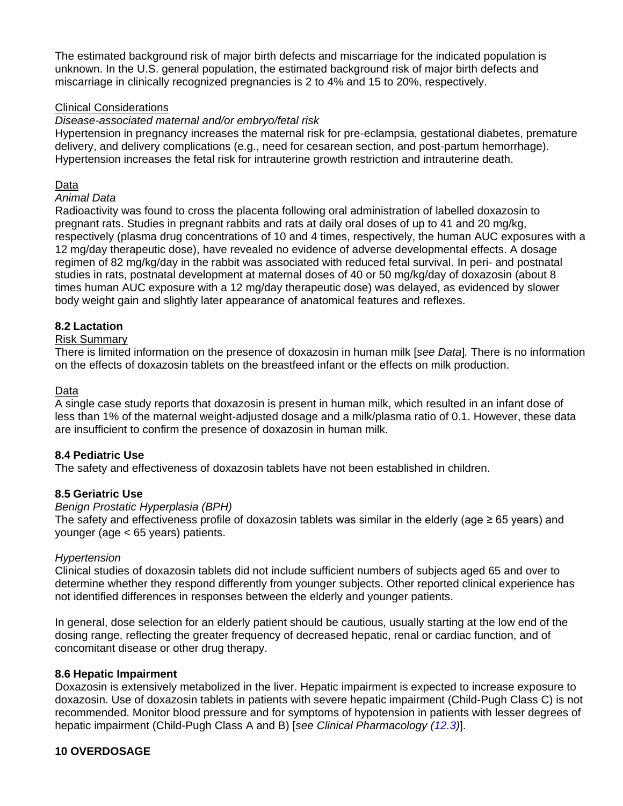The estimated background risk of major birth defects and miscarriage for the indicated population is unknown. In the U.S. general population, the estimated background risk of major birth defects and miscarriage in clinically recognized pregnancies is 2 to 4% and 15 to 20%, respectively.

#### Clinical Considerations

#### *Disease-associated maternal and/or embryo/fetal risk*

Hypertension in pregnancy increases the maternal risk for pre-eclampsia, gestational diabetes, premature delivery, and delivery complications (e.g., need for cesarean section, and post-partum hemorrhage). Hypertension increases the fetal risk for intrauterine growth restriction and intrauterine death.

#### Data

#### *Animal Data*

Radioactivity was found to cross the placenta following oral administration of labelled doxazosin to pregnant rats. Studies in pregnant rabbits and rats at daily oral doses of up to 41 and 20 mg/kg, respectively (plasma drug concentrations of 10 and 4 times, respectively, the human AUC exposures with a 12 mg/day therapeutic dose), have revealed no evidence of adverse developmental effects. A dosage regimen of 82 mg/kg/day in the rabbit was associated with reduced fetal survival. In peri- and postnatal studies in rats, postnatal development at maternal doses of 40 or 50 mg/kg/day of doxazosin (about 8 times human AUC exposure with a 12 mg/day therapeutic dose) was delayed, as evidenced by slower body weight gain and slightly later appearance of anatomical features and reflexes.

#### <span id="page-5-1"></span>**8.2 Lactation**

#### Risk Summary

There is limited information on the presence of doxazosin in human milk [*see Data*]*.* There is no information on the effects of doxazosin tablets on the breastfeed infant or the effects on milk production.

#### Data

A single case study reports that doxazosin is present in human milk, which resulted in an infant dose of less than 1% of the maternal weight-adjusted dosage and a milk/plasma ratio of 0.1. However, these data are insufficient to confirm the presence of doxazosin in human milk.

#### <span id="page-5-2"></span>**8.4 Pediatric Use**

The safety and effectiveness of doxazosin tablets have not been established in children.

#### <span id="page-5-3"></span>**8.5 Geriatric Use**

#### *Benign Prostatic Hyperplasia (BPH)*

The safety and effectiveness profile of doxazosin tablets was similar in the elderly (age ≥ 65 years) and younger (age < 65 years) patients.

#### *Hypertension*

Clinical studies of doxazosin tablets did not include sufficient numbers of subjects aged 65 and over to determine whether they respond differently from younger subjects. Other reported clinical experience has not identified differences in responses between the elderly and younger patients.

In general, dose selection for an elderly patient should be cautious, usually starting at the low end of the dosing range, reflecting the greater frequency of decreased hepatic, renal or cardiac function, and of concomitant disease or other drug therapy.

#### <span id="page-5-0"></span>**8.6 Hepatic Impairment**

Doxazosin is extensively metabolized in the liver. Hepatic impairment is expected to increase exposure to doxazosin. Use of doxazosin tablets in patients with severe hepatic impairment (Child-Pugh Class C) is not recommended. Monitor blood pressure and for symptoms of hypotension in patients with lesser degrees of hepatic impairment (Child-Pugh Class A and B) [*see Clinical Pharmacology [\(12.3\)](#page-7-0)*].

## <span id="page-5-4"></span>**10 OVERDOSAGE**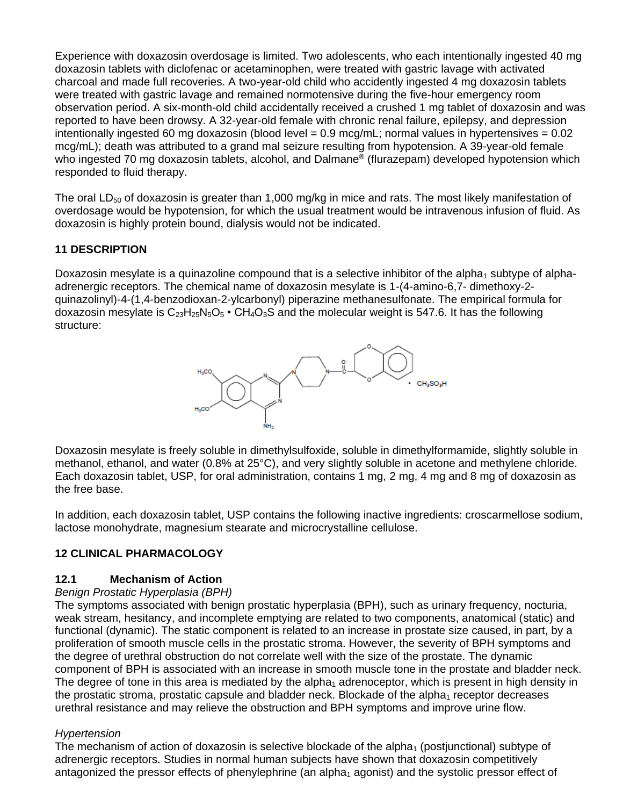Experience with doxazosin overdosage is limited. Two adolescents, who each intentionally ingested 40 mg doxazosin tablets with diclofenac or acetaminophen, were treated with gastric lavage with activated charcoal and made full recoveries. A two-year-old child who accidently ingested 4 mg doxazosin tablets were treated with gastric lavage and remained normotensive during the five-hour emergency room observation period. A six-month-old child accidentally received a crushed 1 mg tablet of doxazosin and was reported to have been drowsy. A 32-year-old female with chronic renal failure, epilepsy, and depression intentionally ingested 60 mg doxazosin (blood level =  $0.9$  mcg/mL; normal values in hypertensives =  $0.02$ mcg/mL); death was attributed to a grand mal seizure resulting from hypotension. A 39-year-old female who ingested 70 mg doxazosin tablets, alcohol, and Dalmane® (flurazepam) developed hypotension which responded to fluid therapy.

The oral  $LD_{50}$  of doxazosin is greater than 1,000 mg/kg in mice and rats. The most likely manifestation of overdosage would be hypotension, for which the usual treatment would be intravenous infusion of fluid. As doxazosin is highly protein bound, dialysis would not be indicated.

# <span id="page-6-0"></span>**11 DESCRIPTION**

Doxazosin mesylate is a quinazoline compound that is a selective inhibitor of the alpha<sub>1</sub> subtype of alphaadrenergic receptors. The chemical name of doxazosin mesylate is 1-(4-amino-6,7- dimethoxy-2 quinazolinyl)-4-(1,4-benzodioxan-2-ylcarbonyl) piperazine methanesulfonate. The empirical formula for doxazosin mesylate is  $C_{23}H_{25}N_5O_5 \cdot CH_4O_3S$  and the molecular weight is 547.6. It has the following structure:



Doxazosin mesylate is freely soluble in dimethylsulfoxide, soluble in dimethylformamide, slightly soluble in methanol, ethanol, and water (0.8% at 25°C), and very slightly soluble in acetone and methylene chloride. Each doxazosin tablet, USP, for oral administration, contains 1 mg, 2 mg, 4 mg and 8 mg of doxazosin as the free base.

In addition, each doxazosin tablet, USP contains the following inactive ingredients: croscarmellose sodium, lactose monohydrate, magnesium stearate and microcrystalline cellulose.

# <span id="page-6-1"></span>**12 CLINICAL PHARMACOLOGY**

## <span id="page-6-2"></span>**12.1 Mechanism of Action**

## *Benign Prostatic Hyperplasia (BPH)*

The symptoms associated with benign prostatic hyperplasia (BPH), such as urinary frequency, nocturia, weak stream, hesitancy, and incomplete emptying are related to two components, anatomical (static) and functional (dynamic). The static component is related to an increase in prostate size caused, in part, by a proliferation of smooth muscle cells in the prostatic stroma. However, the severity of BPH symptoms and the degree of urethral obstruction do not correlate well with the size of the prostate. The dynamic component of BPH is associated with an increase in smooth muscle tone in the prostate and bladder neck. The degree of tone in this area is mediated by the alpha<sub>1</sub> adrenoceptor, which is present in high density in the prostatic stroma, prostatic capsule and bladder neck. Blockade of the alpha<sub>1</sub> receptor decreases urethral resistance and may relieve the obstruction and BPH symptoms and improve urine flow.

## *Hypertension*

The mechanism of action of doxazosin is selective blockade of the alpha<sub>1</sub> (postjunctional) subtype of adrenergic receptors. Studies in normal human subjects have shown that doxazosin competitively antagonized the pressor effects of phenylephrine (an alpha<sub>1</sub> agonist) and the systolic pressor effect of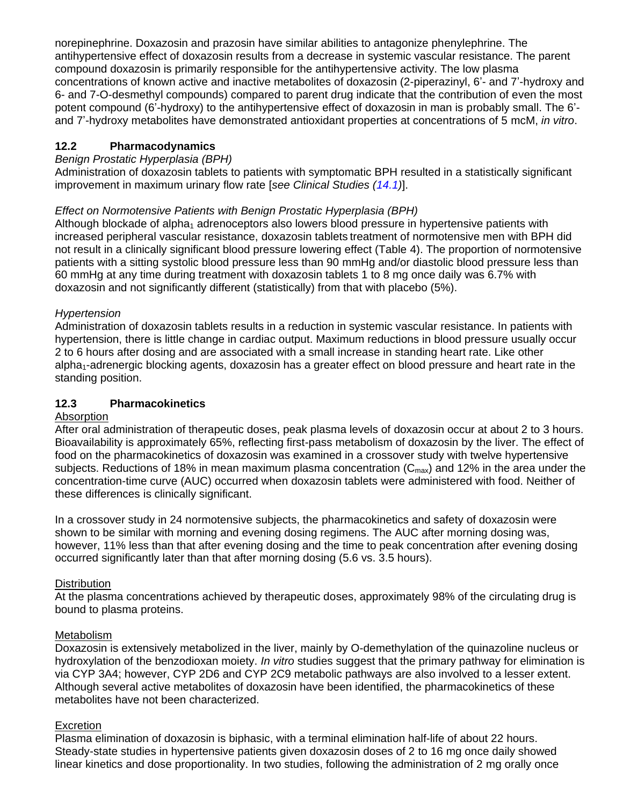norepinephrine. Doxazosin and prazosin have similar abilities to antagonize phenylephrine. The antihypertensive effect of doxazosin results from a decrease in systemic vascular resistance. The parent compound doxazosin is primarily responsible for the antihypertensive activity. The low plasma concentrations of known active and inactive metabolites of doxazosin (2-piperazinyl, 6'- and 7'-hydroxy and 6- and 7-O-desmethyl compounds) compared to parent drug indicate that the contribution of even the most potent compound (6'-hydroxy) to the antihypertensive effect of doxazosin in man is probably small. The 6' and 7'-hydroxy metabolites have demonstrated antioxidant properties at concentrations of 5 mcM, *in vitro*.

# <span id="page-7-1"></span>**12.2 Pharmacodynamics**

## *Benign Prostatic Hyperplasia (BPH)*

Administration of doxazosin tablets to patients with symptomatic BPH resulted in a statistically significant improvement in maximum urinary flow rate [*see Clinical Studies [\(14.1\)](#page-9-1)*].

## *Effect on Normotensive Patients with Benign Prostatic Hyperplasia (BPH)*

Although blockade of alpha<sub>1</sub> adrenoceptors also lowers blood pressure in hypertensive patients with increased peripheral vascular resistance, doxazosin tablets treatment of normotensive men with BPH did not result in a clinically significant blood pressure lowering effect (Table 4). The proportion of normotensive patients with a sitting systolic blood pressure less than 90 mmHg and/or diastolic blood pressure less than 60 mmHg at any time during treatment with doxazosin tablets 1 to 8 mg once daily was 6.7% with doxazosin and not significantly different (statistically) from that with placebo (5%).

## *Hypertension*

Administration of doxazosin tablets results in a reduction in systemic vascular resistance. In patients with hypertension, there is little change in cardiac output. Maximum reductions in blood pressure usually occur 2 to 6 hours after dosing and are associated with a small increase in standing heart rate. Like other alpha<sub>1</sub>-adrenergic blocking agents, doxazosin has a greater effect on blood pressure and heart rate in the standing position.

# <span id="page-7-0"></span>**12.3 Pharmacokinetics**

## **Absorption**

After oral administration of therapeutic doses, peak plasma levels of doxazosin occur at about 2 to 3 hours. Bioavailability is approximately 65%, reflecting first-pass metabolism of doxazosin by the liver. The effect of food on the pharmacokinetics of doxazosin was examined in a crossover study with twelve hypertensive subjects. Reductions of 18% in mean maximum plasma concentration ( $C_{\text{max}}$ ) and 12% in the area under the concentration-time curve (AUC) occurred when doxazosin tablets were administered with food. Neither of these differences is clinically significant.

In a crossover study in 24 normotensive subjects, the pharmacokinetics and safety of doxazosin were shown to be similar with morning and evening dosing regimens. The AUC after morning dosing was, however, 11% less than that after evening dosing and the time to peak concentration after evening dosing occurred significantly later than that after morning dosing (5.6 vs. 3.5 hours).

## **Distribution**

At the plasma concentrations achieved by therapeutic doses, approximately 98% of the circulating drug is bound to plasma proteins.

## Metabolism

Doxazosin is extensively metabolized in the liver, mainly by O-demethylation of the quinazoline nucleus or hydroxylation of the benzodioxan moiety. *In vitro* studies suggest that the primary pathway for elimination is via CYP 3A4; however, CYP 2D6 and CYP 2C9 metabolic pathways are also involved to a lesser extent. Although several active metabolites of doxazosin have been identified, the pharmacokinetics of these metabolites have not been characterized.

## Excretion

Plasma elimination of doxazosin is biphasic, with a terminal elimination half-life of about 22 hours. Steady-state studies in hypertensive patients given doxazosin doses of 2 to 16 mg once daily showed linear kinetics and dose proportionality. In two studies, following the administration of 2 mg orally once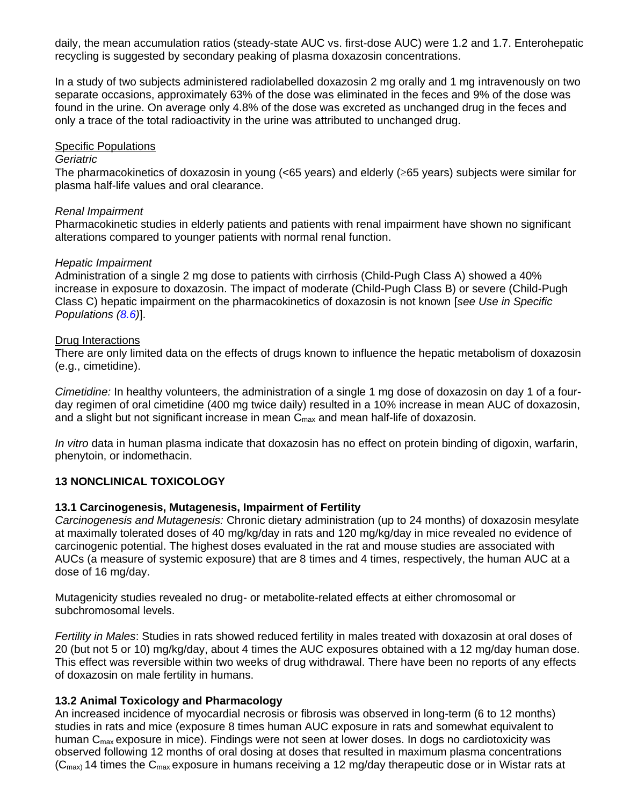daily, the mean accumulation ratios (steady-state AUC vs. first-dose AUC) were 1.2 and 1.7. Enterohepatic recycling is suggested by secondary peaking of plasma doxazosin concentrations.

In a study of two subjects administered radiolabelled doxazosin 2 mg orally and 1 mg intravenously on two separate occasions, approximately 63% of the dose was eliminated in the feces and 9% of the dose was found in the urine. On average only 4.8% of the dose was excreted as unchanged drug in the feces and only a trace of the total radioactivity in the urine was attributed to unchanged drug.

#### Specific Populations

#### *Geriatric*

The pharmacokinetics of doxazosin in young ( $<$ 65 years) and elderly ( $\geq$ 65 years) subjects were similar for plasma half-life values and oral clearance.

#### *Renal Impairment*

Pharmacokinetic studies in elderly patients and patients with renal impairment have shown no significant alterations compared to younger patients with normal renal function.

#### *Hepatic Impairment*

Administration of a single 2 mg dose to patients with cirrhosis (Child-Pugh Class A) showed a 40% increase in exposure to doxazosin. The impact of moderate (Child-Pugh Class B) or severe (Child-Pugh Class C) hepatic impairment on the pharmacokinetics of doxazosin is not known [*see Use in Specific Populations [\(8.6\)](#page-5-0)*].

#### Drug Interactions

There are only limited data on the effects of drugs known to influence the hepatic metabolism of doxazosin (e.g., cimetidine).

*Cimetidine:* In healthy volunteers, the administration of a single 1 mg dose of doxazosin on day 1 of a fourday regimen of oral cimetidine (400 mg twice daily) resulted in a 10% increase in mean AUC of doxazosin, and a slight but not significant increase in mean  $C_{\text{max}}$  and mean half-life of doxazosin.

*In vitro* data in human plasma indicate that doxazosin has no effect on protein binding of digoxin, warfarin, phenytoin, or indomethacin.

## <span id="page-8-0"></span>**13 NONCLINICAL TOXICOLOGY**

## <span id="page-8-1"></span>**13.1 Carcinogenesis, Mutagenesis, Impairment of Fertility**

*Carcinogenesis and Mutagenesis:* Chronic dietary administration (up to 24 months) of doxazosin mesylate at maximally tolerated doses of 40 mg/kg/day in rats and 120 mg/kg/day in mice revealed no evidence of carcinogenic potential. The highest doses evaluated in the rat and mouse studies are associated with AUCs (a measure of systemic exposure) that are 8 times and 4 times, respectively, the human AUC at a dose of 16 mg/day.

Mutagenicity studies revealed no drug- or metabolite-related effects at either chromosomal or subchromosomal levels.

*Fertility in Males*: Studies in rats showed reduced fertility in males treated with doxazosin at oral doses of 20 (but not 5 or 10) mg/kg/day, about 4 times the AUC exposures obtained with a 12 mg/day human dose. This effect was reversible within two weeks of drug withdrawal. There have been no reports of any effects of doxazosin on male fertility in humans.

## <span id="page-8-2"></span>**13.2 Animal Toxicology and Pharmacology**

An increased incidence of myocardial necrosis or fibrosis was observed in long-term (6 to 12 months) studies in rats and mice (exposure 8 times human AUC exposure in rats and somewhat equivalent to human  $C_{\text{max}}$  exposure in mice). Findings were not seen at lower doses. In dogs no cardiotoxicity was observed following 12 months of oral dosing at doses that resulted in maximum plasma concentrations (C<sub>max)</sub> 14 times the C<sub>max</sub> exposure in humans receiving a 12 mg/day therapeutic dose or in Wistar rats at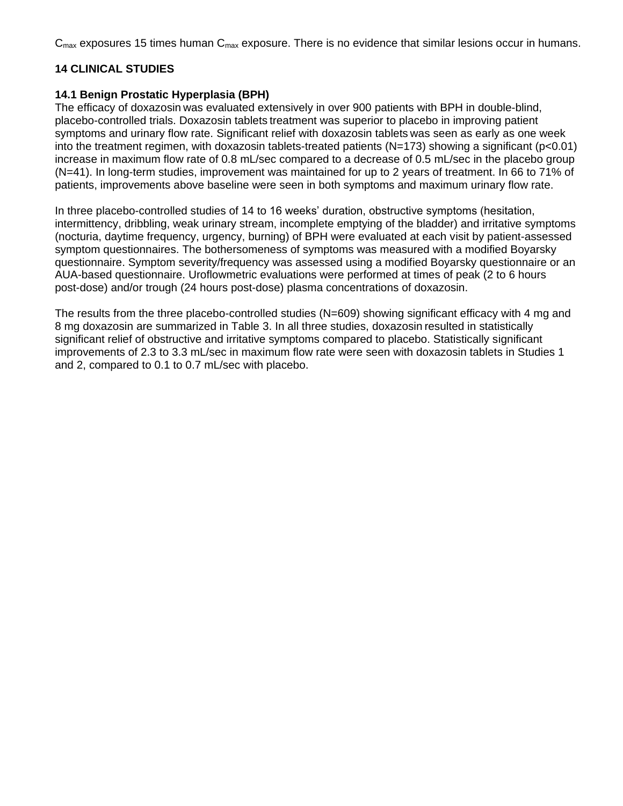$C_{\text{max}}$  exposures 15 times human  $C_{\text{max}}$  exposure. There is no evidence that similar lesions occur in humans.

## <span id="page-9-0"></span>**14 CLINICAL STUDIES**

#### <span id="page-9-1"></span>**14.1 Benign Prostatic Hyperplasia (BPH)**

The efficacy of doxazosin was evaluated extensively in over 900 patients with BPH in double-blind, placebo-controlled trials. Doxazosin tablets treatment was superior to placebo in improving patient symptoms and urinary flow rate. Significant relief with doxazosin tablets was seen as early as one week into the treatment regimen, with doxazosin tablets-treated patients (N=173) showing a significant (p<0.01) increase in maximum flow rate of 0.8 mL/sec compared to a decrease of 0.5 mL/sec in the placebo group (N=41). In long-term studies, improvement was maintained for up to 2 years of treatment. In 66 to 71% of patients, improvements above baseline were seen in both symptoms and maximum urinary flow rate.

In three placebo-controlled studies of 14 to 16 weeks' duration, obstructive symptoms (hesitation, intermittency, dribbling, weak urinary stream, incomplete emptying of the bladder) and irritative symptoms (nocturia, daytime frequency, urgency, burning) of BPH were evaluated at each visit by patient-assessed symptom questionnaires. The bothersomeness of symptoms was measured with a modified Boyarsky questionnaire. Symptom severity/frequency was assessed using a modified Boyarsky questionnaire or an AUA-based questionnaire. Uroflowmetric evaluations were performed at times of peak (2 to 6 hours post-dose) and/or trough (24 hours post-dose) plasma concentrations of doxazosin.

The results from the three placebo-controlled studies (N=609) showing significant efficacy with 4 mg and 8 mg doxazosin are summarized in Table 3. In all three studies, doxazosin resulted in statistically significant relief of obstructive and irritative symptoms compared to placebo. Statistically significant improvements of 2.3 to 3.3 mL/sec in maximum flow rate were seen with doxazosin tablets in Studies 1 and 2, compared to 0.1 to 0.7 mL/sec with placebo.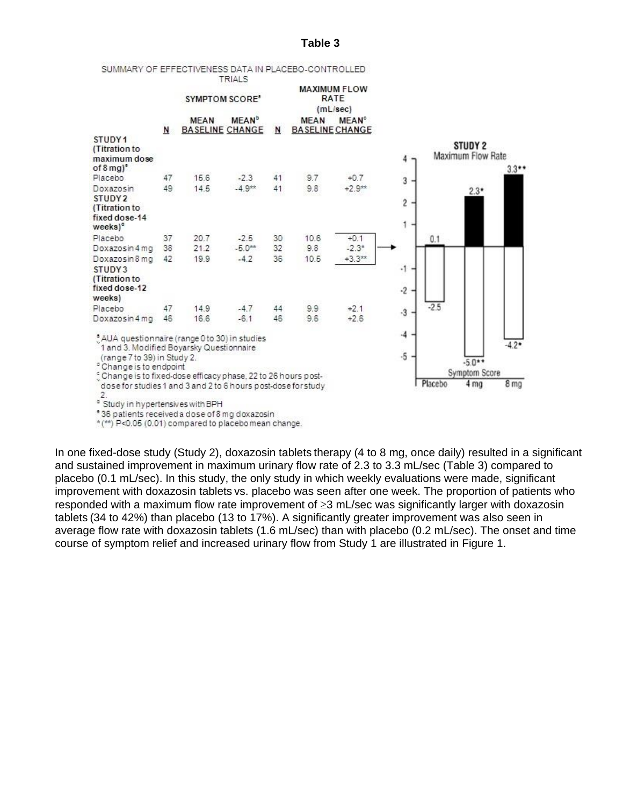#### **Table 3**

SUMMARY OF EFFECTIVENESS DATA IN PLACEBO-CONTROLLED TRIAI S

|                                                                                                                     |    | SYMPTOM SCORE*                        |                          |    |             | <b>MAXIMUM FLOW</b><br>RATE<br>(mL/sec)           |                |         |                              |                 |
|---------------------------------------------------------------------------------------------------------------------|----|---------------------------------------|--------------------------|----|-------------|---------------------------------------------------|----------------|---------|------------------------------|-----------------|
|                                                                                                                     | N  | <b>MEAN</b><br><b>BASELINE CHANGE</b> | <b>MEAN</b> <sup>b</sup> | N. | <b>MEAN</b> | <b>MEAN<sup>°</sup></b><br><b>BASELINE CHANGE</b> |                |         |                              |                 |
| STUDY <sub>1</sub><br>(Titration to<br>maximum dose<br>of $8 \text{ mg}$ <sup>*</sup>                               |    |                                       |                          |    |             |                                                   | 4              |         | STUDY 2<br>Maximum Flow Rate | $3.3**$         |
| Placebo                                                                                                             | 47 | 15.6                                  | $-2.3$                   | 41 | 9.7         | $+0.7$                                            | 3              |         |                              |                 |
| Doxazosin                                                                                                           | 49 | 14.5                                  | $-4.9**$                 | 41 | 9.8         | $+2.9***$                                         |                |         | $2.3*$                       |                 |
| STUDY 2<br>(Titration to<br>fixed dose-14                                                                           |    |                                       |                          |    |             |                                                   | $\overline{c}$ |         |                              |                 |
| weeks) <sup>o</sup>                                                                                                 |    |                                       |                          |    |             |                                                   |                |         |                              |                 |
| Placebo                                                                                                             | 37 | 20.7                                  | $-2.5$                   | 30 | 10.6        | $+0.1$                                            |                | 0.1     |                              |                 |
| Doxazosin 4 mg                                                                                                      | 38 | 21.2                                  | $-5.0**$                 | 32 | 9.8         | $-2.3*$                                           |                |         |                              |                 |
| Doxazosin 8 mg<br>STUDY3<br>(Titration to                                                                           | 42 | 19.9                                  | $-4.2$                   | 36 | 10.5        | $+3.3**$                                          | $\cdot$ 1      |         |                              |                 |
| fixed dose-12<br>weeks)                                                                                             |    |                                       |                          |    |             |                                                   | $-2$           |         |                              |                 |
| Placebo                                                                                                             | 47 | 14.9                                  | $-4.7$                   | 44 | 9.9         | $+2.1$                                            | $-3$           | $-2.5$  |                              |                 |
| Doxazosin 4 mg                                                                                                      | 46 | 16.6                                  | $-6.1$                   | 46 | 9.6         | $+2.6$                                            |                |         |                              |                 |
| AUA questionnaire (range 0 to 30) in studies<br>1 and 3. Modified Boyarsky Questionnaire                            |    |                                       |                          |    |             |                                                   | $-4$           |         |                              | $-4.2$          |
| (range 7 to 39) in Study 2.<br><sup>o</sup> Change is to endpoint                                                   |    |                                       |                          |    |             |                                                   | $-5$           |         | $-5.0**$                     |                 |
| Change is to fixed-dose efficacy phase, 22 to 26 hours post-                                                        |    |                                       |                          |    |             |                                                   |                |         | Symptom Score                |                 |
| dose for studies 1 and 3 and 2 to 6 hours post-dose for study<br>2.<br><sup>a</sup> Study in hypertensives with BPH |    |                                       |                          |    |             |                                                   |                | Placebo | 4 <sub>ma</sub>              | 8 <sub>mg</sub> |

\*36 patients received a dose of 8 mg doxazosin

\*(\*\*) P<0.05 (0.01) compared to placebo mean change.

In one fixed-dose study (Study 2), doxazosin tablets therapy (4 to 8 mg, once daily) resulted in a significant and sustained improvement in maximum urinary flow rate of 2.3 to 3.3 mL/sec (Table 3) compared to placebo (0.1 mL/sec). In this study, the only study in which weekly evaluations were made, significant improvement with doxazosin tablets vs. placebo was seen after one week. The proportion of patients who responded with a maximum flow rate improvement of  $\geq$ 3 mL/sec was significantly larger with doxazosin tablets (34 to 42%) than placebo (13 to 17%). A significantly greater improvement was also seen in average flow rate with doxazosin tablets (1.6 mL/sec) than with placebo (0.2 mL/sec). The onset and time course of symptom relief and increased urinary flow from Study 1 are illustrated in Figure 1.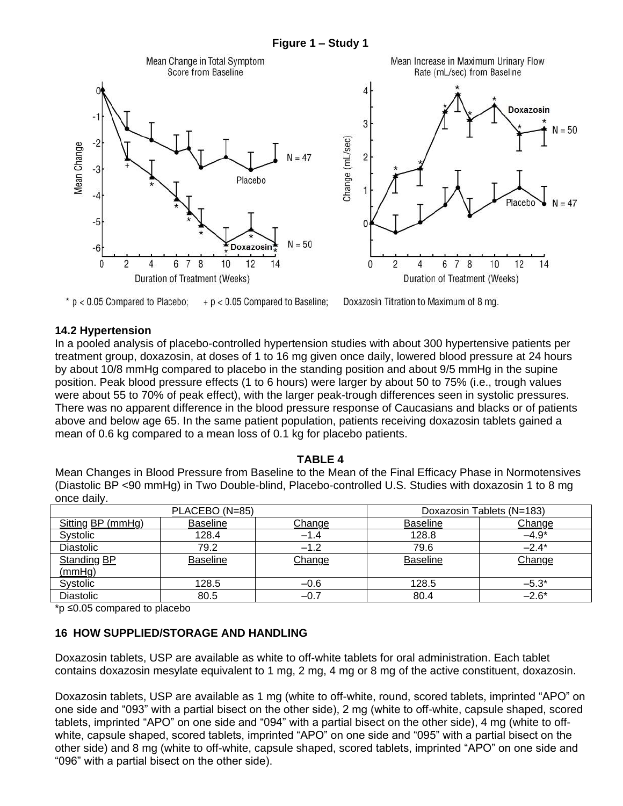

 $p$  < 0.05 Compared to Placebo;  $+ p < 0.05$  Compared to Baseline;



#### <span id="page-11-0"></span>**14.2 Hypertension**

In a pooled analysis of placebo-controlled hypertension studies with about 300 hypertensive patients per treatment group, doxazosin, at doses of 1 to 16 mg given once daily, lowered blood pressure at 24 hours by about 10/8 mmHg compared to placebo in the standing position and about 9/5 mmHg in the supine position. Peak blood pressure effects (1 to 6 hours) were larger by about 50 to 75% (i.e., trough values were about 55 to 70% of peak effect), with the larger peak-trough differences seen in systolic pressures. There was no apparent difference in the blood pressure response of Caucasians and blacks or of patients above and below age 65. In the same patient population, patients receiving doxazosin tablets gained a mean of 0.6 kg compared to a mean loss of 0.1 kg for placebo patients.

#### **TABLE 4**

Mean Changes in Blood Pressure from Baseline to the Mean of the Final Efficacy Phase in Normotensives (Diastolic BP <90 mmHg) in Two Double-blind, Placebo-controlled U.S. Studies with doxazosin 1 to 8 mg once daily.

|                   | PLACEBO (N=85)  |        | Doxazosin Tablets (N=183) |         |
|-------------------|-----------------|--------|---------------------------|---------|
| Sitting BP (mmHg) | <b>Baseline</b> | Change | <b>Baseline</b>           | Change  |
| Systolic          | 128.4           | $-1.4$ | 128.8                     | $-4.9*$ |
| <b>Diastolic</b>  | 79.2            | $-1.2$ | 79.6                      | $-2.4*$ |
| Standing BP       | <b>Baseline</b> | Change | <b>Baseline</b>           | Change  |
| (mmHg)            |                 |        |                           |         |
| Systolic          | 128.5           | $-0.6$ | 128.5                     | $-5.3*$ |
| <b>Diastolic</b>  | 80.5            | $-0.7$ | 80.4                      | $-2.6*$ |

\*p ≤0.05 compared to placebo

#### <span id="page-11-1"></span>**16 HOW SUPPLIED/STORAGE AND HANDLING**

Doxazosin tablets, USP are available as white to off-white tablets for oral administration. Each tablet contains doxazosin mesylate equivalent to 1 mg, 2 mg, 4 mg or 8 mg of the active constituent, doxazosin.

Doxazosin tablets, USP are available as 1 mg (white to off-white, round, scored tablets, imprinted "APO" on one side and "093" with a partial bisect on the other side), 2 mg (white to off-white, capsule shaped, scored tablets, imprinted "APO" on one side and "094" with a partial bisect on the other side), 4 mg (white to offwhite, capsule shaped, scored tablets, imprinted "APO" on one side and "095" with a partial bisect on the other side) and 8 mg (white to off-white, capsule shaped, scored tablets, imprinted "APO" on one side and "096" with a partial bisect on the other side).